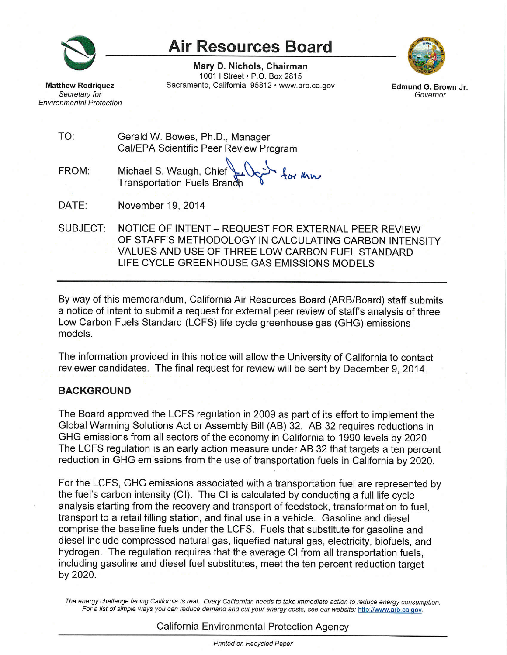

**Matthew Rodriguez** 

Secretary for

**Environmental Protection** 

# **Air Resources Board**

Mary D. Nichols, Chairman 1001 | Street . P.O. Box 2815 Sacramento, California 95812 · www.arb.ca.gov



Edmund G. Brown Jr. Governor

| TO: | Gerald W. Bowes, Ph.D., Manager        |
|-----|----------------------------------------|
|     | Cal/EPA Scientific Peer Review Program |
|     |                                        |

tor kn Michael S. Waugh, Chief<br>Transportation Fuels Branch FROM:

DATE: November 19, 2014

SUBJECT: NOTICE OF INTENT - REQUEST FOR EXTERNAL PEER REVIEW OF STAFF'S METHODOLOGY IN CALCULATING CARBON INTENSITY VALUES AND USE OF THREE LOW CARBON FUEL STANDARD LIFE CYCLE GREENHOUSE GAS EMISSIONS MODELS

By way of this memorandum, California Air Resources Board (ARB/Board) staff submits a notice of intent to submit a request for external peer review of staff's analysis of three Low Carbon Fuels Standard (LCFS) life cycle greenhouse gas (GHG) emissions models.

The information provided in this notice will allow the University of California to contact reviewer candidates. The final request for review will be sent by December 9, 2014.

#### **BACKGROUND**

The Board approved the LCFS regulation in 2009 as part of its effort to implement the Global Warming Solutions Act or Assembly Bill (AB) 32. AB 32 requires reductions in GHG emissions from all sectors of the economy in California to 1990 levels by 2020. The LCFS regulation is an early action measure under AB 32 that targets a ten percent reduction in GHG emissions from the use of transportation fuels in California by 2020.

For the LCFS, GHG emissions associated with a transportation fuel are represented by the fuel's carbon intensity (CI). The CI is calculated by conducting a full life cycle analysis starting from the recovery and transport of feedstock, transformation to fuel, transport to a retail filling station, and final use in a vehicle. Gasoline and diesel comprise the baseline fuels under the LCFS. Fuels that substitute for gasoline and diesel include compressed natural gas, liquefied natural gas, electricity, biofuels, and hydrogen. The regulation requires that the average CI from all transportation fuels. including gasoline and diesel fuel substitutes, meet the ten percent reduction target by 2020.

The energy challenge facing California is real. Every Californian needs to take immediate action to reduce energy consumption. For a list of simple ways you can reduce demand and cut your energy costs, see our website: http://www.arb.ca.gov.

California Environmental Protection Agency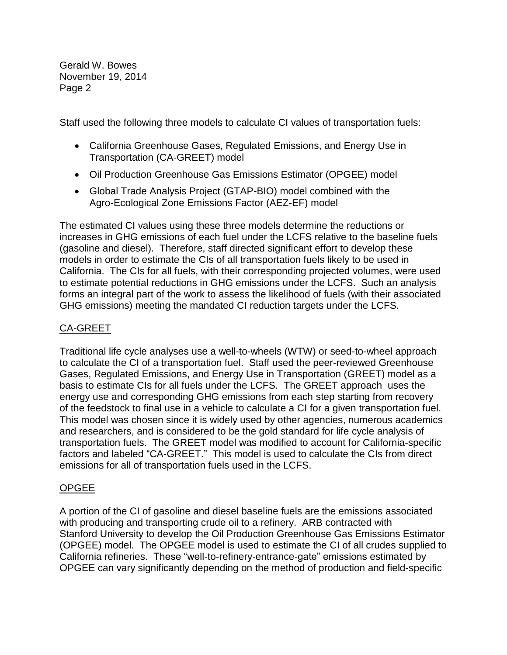Page 2 Gerald W. Bowes November 19, 2014

Staff used the following three models to calculate CI values of transportation fuels:

- California Greenhouse Gases, Regulated Emissions, and Energy Use in Transportation (CA-GREET) model
- Oil Production Greenhouse Gas Emissions Estimator (OPGEE) model
- Global Trade Analysis Project (GTAP-BIO) model combined with the Agro-Ecological Zone Emissions Factor (AEZ-EF) model

 increases in GHG emissions of each fuel under the LCFS relative to the baseline fuels to estimate potential reductions in GHG emissions under the LCFS. Such an analysis forms an integral part of the work to assess the likelihood of fuels (with their associated GHG emissions) meeting the mandated CI reduction targets under the LCFS. The estimated CI values using these three models determine the reductions or (gasoline and diesel). Therefore, staff directed significant effort to develop these models in order to estimate the CIs of all transportation fuels likely to be used in California. The CIs for all fuels, with their corresponding projected volumes, were used

# CA-GREET

 Traditional life cycle analyses use a well-to-wheels (WTW) or seed-to-wheel approach to calculate the CI of a transportation fuel. Staff used the peer-reviewed Greenhouse Gases, Regulated Emissions, and Energy Use in Transportation (GREET) model as a basis to estimate CIs for all fuels under the LCFS. The GREET approach uses the of the feedstock to final use in a vehicle to calculate a CI for a given transportation fuel. This model was chosen since it is widely used by other agencies, numerous academics factors and labeled "CA-GREET." This model is used to calculate the CIs from direct emissions for all of transportation fuels used in the LCFS. energy use and corresponding GHG emissions from each step starting from recovery and researchers, and is considered to be the gold standard for life cycle analysis of transportation fuels. The GREET model was modified to account for California-specific

# OPGEE

 A portion of the CI of gasoline and diesel baseline fuels are the emissions associated with producing and transporting crude oil to a refinery. ARB contracted with (OPGEE) model. The OPGEE model is used to estimate the CI of all crudes supplied to OPGEE can vary significantly depending on the method of production and field-specific Stanford University to develop the Oil Production Greenhouse Gas Emissions Estimator California refineries. These "well-to-refinery-entrance-gate" emissions estimated by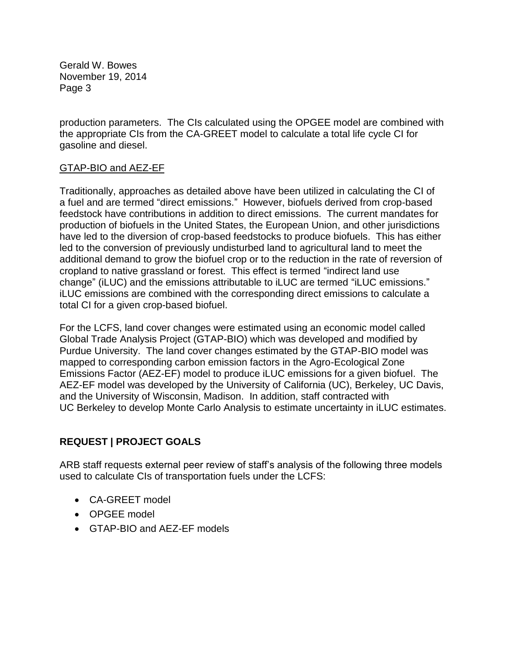Page 3 Gerald W. Bowes November 19, 2014

 the appropriate CIs from the CA-GREET model to calculate a total life cycle CI for gasoline and diesel. production parameters. The CIs calculated using the OPGEE model are combined with

## GTAP-BIO and AEZ-EF

 Traditionally, approaches as detailed above have been utilized in calculating the CI of a fuel and are termed "direct emissions." However, biofuels derived from crop-based feedstock have contributions in addition to direct emissions. The current mandates for cropland to native grassland or forest. This effect is termed "indirect land use change" (iLUC) and the emissions attributable to iLUC are termed "iLUC emissions." total CI for a given crop-based biofuel. production of biofuels in the United States, the European Union, and other jurisdictions have led to the diversion of crop-based feedstocks to produce biofuels. This has either led to the conversion of previously undisturbed land to agricultural land to meet the additional demand to grow the biofuel crop or to the reduction in the rate of reversion of iLUC emissions are combined with the corresponding direct emissions to calculate a

 For the LCFS, land cover changes were estimated using an economic model called Purdue University. The land cover changes estimated by the GTAP-BIO model was mapped to corresponding carbon emission factors in the Agro-Ecological Zone Emissions Factor (AEZ-EF) model to produce iLUC emissions for a given biofuel. The AEZ-EF model was developed by the University of California (UC), Berkeley, UC Davis, and the University of Wisconsin, Madison. In addition, staff contracted with Global Trade Analysis Project (GTAP-BIO) which was developed and modified by UC Berkeley to develop Monte Carlo Analysis to estimate uncertainty in iLUC estimates.

# **REQUEST | PROJECT GOALS**

 ARB staff requests external peer review of staff's analysis of the following three models used to calculate CIs of transportation fuels under the LCFS:

- CA-GREET model
- OPGEE model
- GTAP-BIO and AEZ-EF models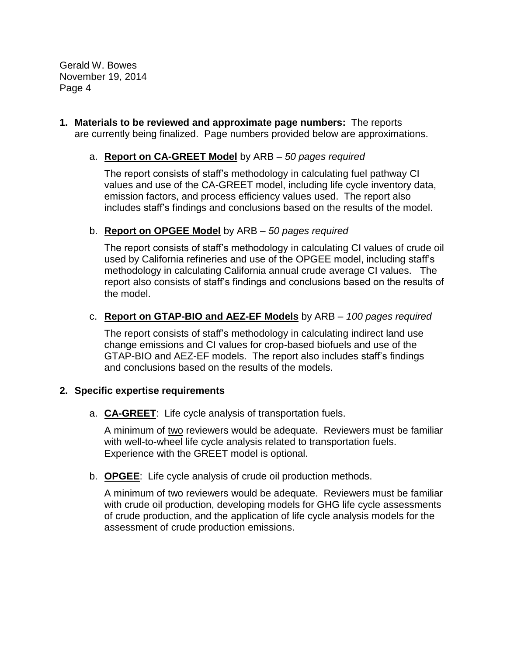Page 4 Gerald W. Bowes November 19, 2014

 **1. Materials to be reviewed and approximate page numbers:** The reports are currently being finalized. Page numbers provided below are approximations.

## a. **Report on CA-GREET Model** by ARB – *50 pages required*

 The report consists of staff's methodology in calculating fuel pathway CI values and use of the CA-GREET model, including life cycle inventory data, emission factors, and process efficiency values used. The report also includes staff's findings and conclusions based on the results of the model.

#### b. **Report on OPGEE Model** by ARB – *50 pages required*

 The report consists of staff's methodology in calculating CI values of crude oil methodology in calculating California annual crude average CI values. The report also consists of staff's findings and conclusions based on the results of the model. used by California refineries and use of the OPGEE model, including staff's

## c. **Report on GTAP-BIO and AEZ-EF Models** by ARB – *100 pages required*

 and conclusions based on the results of the models. The report consists of staff's methodology in calculating indirect land use change emissions and CI values for crop-based biofuels and use of the GTAP-BIO and AEZ-EF models. The report also includes staff's findings

#### **2. Specific expertise requirements**

a. **CA-GREET**: Life cycle analysis of transportation fuels.

A minimum of two reviewers would be adequate. Reviewers must be familiar Experience with the GREET model is optional. with well-to-wheel life cycle analysis related to transportation fuels.

b. **OPGEE**: Life cycle analysis of crude oil production methods.

A minimum of two reviewers would be adequate. Reviewers must be familiar with crude oil production, developing models for GHG life cycle assessments of crude production, and the application of life cycle analysis models for the assessment of crude production emissions.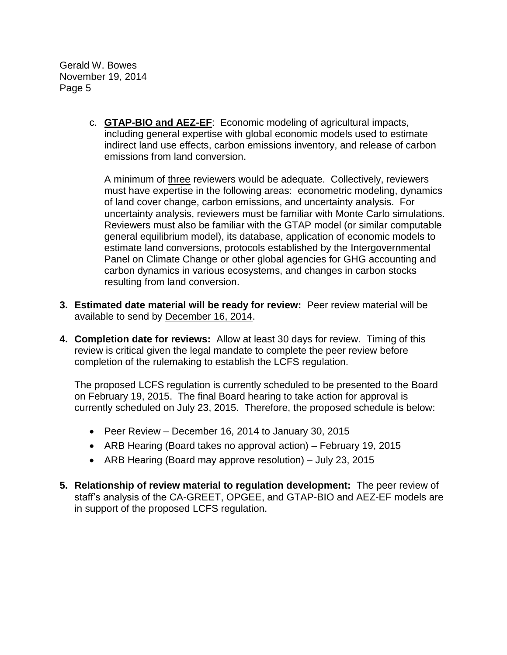Page 5 Gerald W. Bowes November 19, 2014

> including general expertise with global economic models used to estimate c. **GTAP-BIO and AEZ-EF**: Economic modeling of agricultural impacts, indirect land use effects, carbon emissions inventory, and release of carbon emissions from land conversion.

A minimum of three reviewers would be adequate. Collectively, reviewers of land cover change, carbon emissions, and uncertainty analysis. For Reviewers must also be familiar with the GTAP model (or similar computable estimate land conversions, protocols established by the Intergovernmental must have expertise in the following areas: econometric modeling, dynamics uncertainty analysis, reviewers must be familiar with Monte Carlo simulations. general equilibrium model), its database, application of economic models to Panel on Climate Change or other global agencies for GHG accounting and carbon dynamics in various ecosystems, and changes in carbon stocks resulting from land conversion.

- **3. Estimated date material will be ready for review:** Peer review material will be available to send by December 16, 2014.
- **4. Completion date for reviews:** Allow at least 30 days for review. Timing of this review is critical given the legal mandate to complete the peer review before completion of the rulemaking to establish the LCFS regulation.

 The proposed LCFS regulation is currently scheduled to be presented to the Board currently scheduled on July 23, 2015. Therefore, the proposed schedule is below: on February 19, 2015. The final Board hearing to take action for approval is

- Peer Review December 16, 2014 to January 30, 2015
- ARB Hearing (Board takes no approval action) February 19, 2015
- ARB Hearing (Board may approve resolution) July 23, 2015
- **5. Relationship of review material to regulation development:** The peer review of staff's analysis of the CA-GREET, OPGEE, and GTAP-BIO and AEZ-EF models are in support of the proposed LCFS regulation.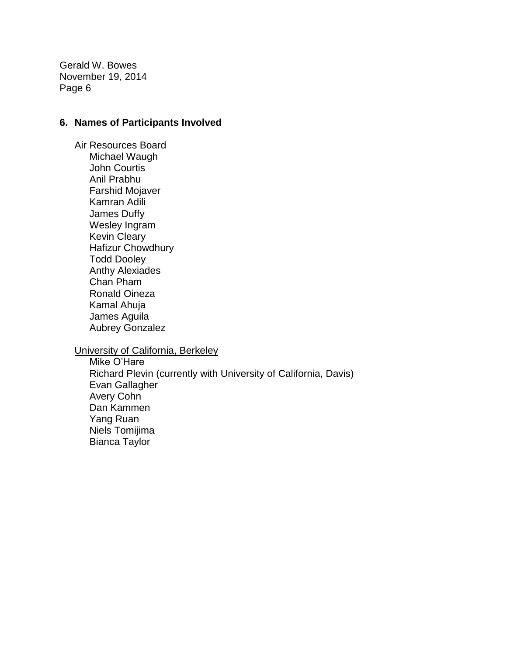Page 6 Gerald W. Bowes November 19, 2014

#### **6. Names of Participants Involved**

 Ronald Oineza Air Resources Board Michael Waugh John Courtis Anil Prabhu Farshid Mojaver Kamran Adili James Duffy Wesley Ingram Kevin Cleary Hafizur Chowdhury Todd Dooley Anthy Alexiades Chan Pham Kamal Ahuja James Aguila Aubrey Gonzalez

University of California, Berkeley

 Richard Plevin (currently with University of California, Davis) Bianca Taylor Mike O'Hare Evan Gallagher Avery Cohn Dan Kammen Yang Ruan Niels Tomijima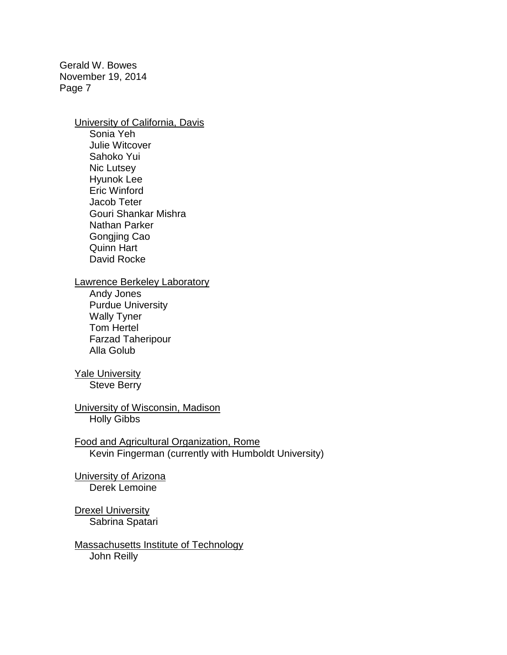Page 7 Gerald W. Bowes November 19, 2014

> **University of California, Davis** Sonia Yeh

 Julie Witcover Jacob Teter Sahoko Yui Nic Lutsey Hyunok Lee Eric Winford Gouri Shankar Mishra Nathan Parker Gongjing Cao Quinn Hart David Rocke

#### Lawrence Berkeley Laboratory

Andy Jones Purdue University Wally Tyner Tom Hertel Farzad Taheripour Alla Golub

# **Yale University**

Steve Berry

University of Wisconsin, Madison Holly Gibbs

Food and Agricultural Organization, Rome Kevin Fingerman (currently with Humboldt University)

University of Arizona Derek Lemoine

**Drexel University** Sabrina Spatari

Massachusetts Institute of Technology John Reilly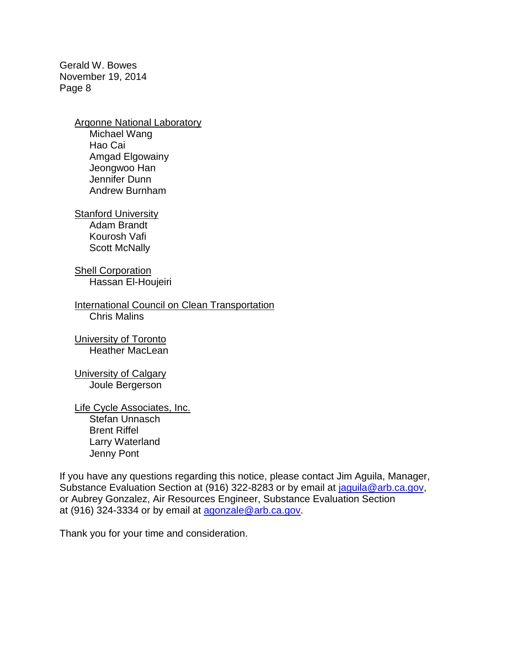Page 8 Gerald W. Bowes November 19, 2014

Argonne National Laboratory

 Amgad Elgowainy Michael Wang Hao Cai Jeongwoo Han Jennifer Dunn Andrew Burnham

**Stanford University** 

Adam Brandt Kourosh Vafi Scott McNally

Shell Corporation Hassan El-Houjeiri

International Council on Clean Transportation Chris Malins

**University of Toronto** Heather MacLean

University of Calgary Joule Bergerson

 Larry Waterland Life Cycle Associates, Inc. Stefan Unnasch Brent Riffel Jenny Pont

 or Aubrey Gonzalez, Air Resources Engineer, Substance Evaluation Section at (916) 324-3334 or by email at [agonzale@arb.ca.gov.](mailto:agonzale@arb.ca.gov) If you have any questions regarding this notice, please contact Jim Aguila, Manager, Substance Evaluation Section at (916) 322-8283 or by email at [jaguila@arb.ca.gov,](mailto:jaguila@arb.ca.gov)

Thank you for your time and consideration.